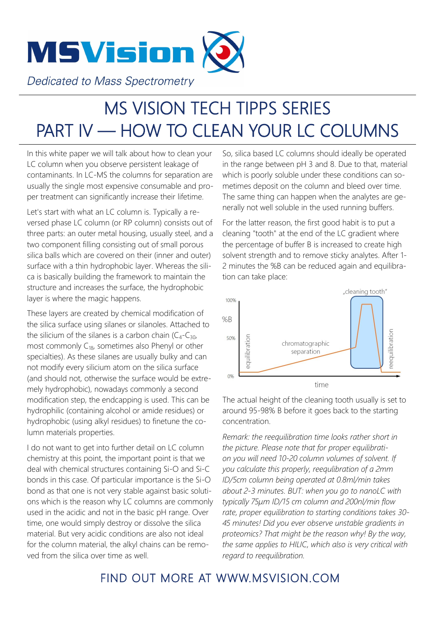

**Dedicated to Mass Spectrometry** 

## MS VISION TECH TIPPS SERIES PART IV — HOW TO CLEAN YOUR LC COLUMNS

In this white paper we will talk about how to clean your LC column when you observe persistent leakage of contaminants. In LC-MS the columns for separation are usually the single most expensive consumable and proper treatment can significantly increase their lifetime.

Let's start with what an LC column is. Typically a reversed phase LC column (or RP column) consists out of three parts: an outer metal housing, usually steel, and a two component filling consisting out of small porous silica balls which are covered on their (inner and outer) surface with a thin hydrophobic layer. Whereas the silica is basically building the framework to maintain the structure and increases the surface, the hydrophobic layer is where the magic happens.

These layers are created by chemical modification of the silica surface using silanes or silanoles. Attached to the silicium of the silanes is a carbon chain  $(C_4-C_{30}$ , most commonly  $C_{18}$ , sometimes also Phenyl or other specialties). As these silanes are usually bulky and can not modify every silicium atom on the silica surface (and should not, otherwise the surface would be extremely hydrophobic), nowadays commonly a second modification step, the endcapping is used. This can be hydrophilic (containing alcohol or amide residues) or hydrophobic (using alkyl residues) to finetune the column materials properties.

I do not want to get into further detail on LC column chemistry at this point, the important point is that we deal with chemical structures containing Si-O and Si-C bonds in this case. Of particular importance is the Si-O bond as that one is not very stable against basic solutions which is the reason why LC columns are commonly used in the acidic and not in the basic pH range. Over time, one would simply destroy or dissolve the silica material. But very acidic conditions are also not ideal for the column material, the alkyl chains can be removed from the silica over time as well.

So, silica based LC columns should ideally be operated in the range between pH 3 and 8. Due to that, material which is poorly soluble under these conditions can sometimes deposit on the column and bleed over time. The same thing can happen when the analytes are generally not well soluble in the used running buffers.

For the latter reason, the first good habit is to put a cleaning "tooth" at the end of the LC gradient where the percentage of buffer B is increased to create high solvent strength and to remove sticky analytes. After 1- 2 minutes the %B can be reduced again and equilibration can take place:



The actual height of the cleaning tooth usually is set to around 95-98% B before it goes back to the starting concentration.

*Remark: the reequilibration time looks rather short in the picture. Please note that for proper equilibration you will need 10-20 column volumes of solvent. If you calculate this properly, reequlibration of a 2mm ID/5cm column being operated at 0.8ml/min takes about 2-3 minutes. BUT: when you go to nanoLC with typically 75µm ID/15 cm column and 200nl/min flow rate, proper equilibration to starting conditions takes 30- 45 minutes! Did you ever observe unstable gradients in proteomics? That might be the reason why! By the way, the same applies to HILIC, which also is very critical with regard to reequilibration.*

## FIND OUT MORE AT WWW.MSVISION.COM